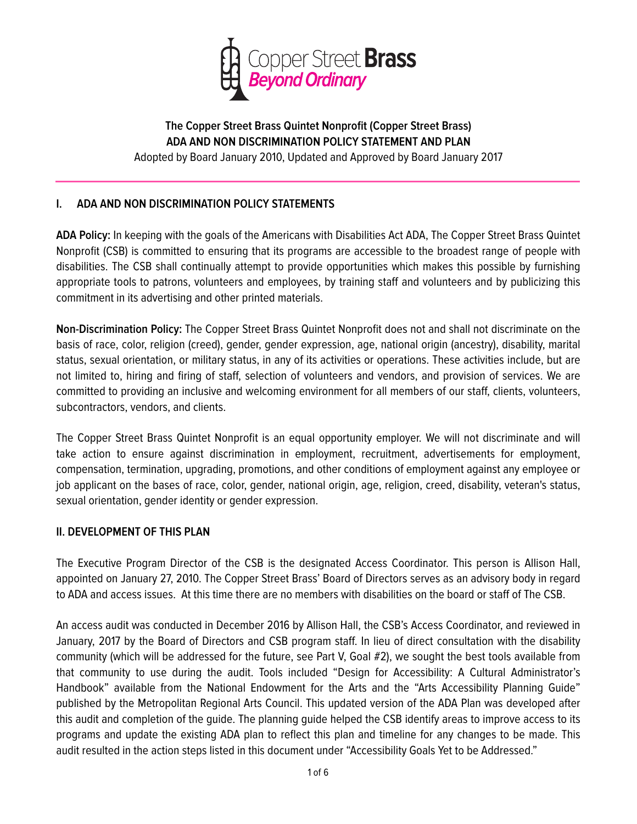

# **The Copper Street Brass Quintet Nonprofit (Copper Street Brass) ADA AND NON DISCRIMINATION POLICY STATEMENT AND PLAN**

Adopted by Board January 2010, Updated and Approved by Board January 2017

## **I. ADA AND NON DISCRIMINATION POLICY STATEMENTS**

**ADA Policy:** In keeping with the goals of the Americans with Disabilities Act ADA, The Copper Street Brass Quintet Nonprofit (CSB) is committed to ensuring that its programs are accessible to the broadest range of people with disabilities. The CSB shall continually attempt to provide opportunities which makes this possible by furnishing appropriate tools to patrons, volunteers and employees, by training staff and volunteers and by publicizing this commitment in its advertising and other printed materials.

**Non-Discrimination Policy:** The Copper Street Brass Quintet Nonprofit does not and shall not discriminate on the basis of race, color, religion (creed), gender, gender expression, age, national origin (ancestry), disability, marital status, sexual orientation, or military status, in any of its activities or operations. These activities include, but are not limited to, hiring and firing of staff, selection of volunteers and vendors, and provision of services. We are committed to providing an inclusive and welcoming environment for all members of our staff, clients, volunteers, subcontractors, vendors, and clients.

The Copper Street Brass Quintet Nonprofit is an equal opportunity employer. We will not discriminate and will take action to ensure against discrimination in employment, recruitment, advertisements for employment, compensation, termination, upgrading, promotions, and other conditions of employment against any employee or job applicant on the bases of race, color, gender, national origin, age, religion, creed, disability, veteran's status, sexual orientation, gender identity or gender expression.

### **II. DEVELOPMENT OF THIS PLAN**

The Executive Program Director of the CSB is the designated Access Coordinator. This person is Allison Hall, appointed on January 27, 2010. The Copper Street Brass' Board of Directors serves as an advisory body in regard to ADA and access issues. At this time there are no members with disabilities on the board or staff of The CSB.

An access audit was conducted in December 2016 by Allison Hall, the CSB's Access Coordinator, and reviewed in January, 2017 by the Board of Directors and CSB program staff. In lieu of direct consultation with the disability community (which will be addressed for the future, see Part V, Goal #2), we sought the best tools available from that community to use during the audit. Tools included "Design for Accessibility: A Cultural Administrator's Handbook" available from the National Endowment for the Arts and the "Arts Accessibility Planning Guide" published by the Metropolitan Regional Arts Council. This updated version of the ADA Plan was developed after this audit and completion of the guide. The planning guide helped the CSB identify areas to improve access to its programs and update the existing ADA plan to reflect this plan and timeline for any changes to be made. This audit resulted in the action steps listed in this document under "Accessibility Goals Yet to be Addressed."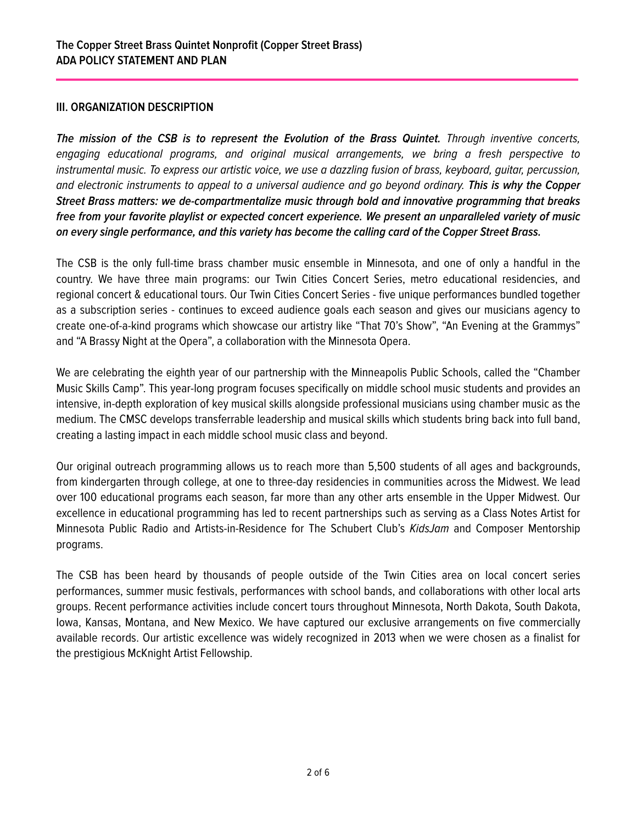### **III. ORGANIZATION DESCRIPTION**

*The mission of the CSB is to represent the Evolution of the Brass Quintet. Through inventive concerts, engaging educational programs, and original musical arrangements, we bring a fresh perspective to instrumental music. To express our artistic voice, we use a dazzling fusion of brass, keyboard, guitar, percussion, and electronic instruments to appeal to a universal audience and go beyond ordinary. This is why the Copper Street Brass matters: we de-compartmentalize music through bold and innovative programming that breaks free from your favorite playlist or expected concert experience. We present an unparalleled variety of music on every single performance, and this variety has become the calling card of the Copper Street Brass.* 

The CSB is the only full-time brass chamber music ensemble in Minnesota, and one of only a handful in the country. We have three main programs: our Twin Cities Concert Series, metro educational residencies, and regional concert & educational tours. Our Twin Cities Concert Series - five unique performances bundled together as a subscription series - continues to exceed audience goals each season and gives our musicians agency to create one-of-a-kind programs which showcase our artistry like "That 70's Show", "An Evening at the Grammys" and "A Brassy Night at the Opera", a collaboration with the Minnesota Opera.

We are celebrating the eighth year of our partnership with the Minneapolis Public Schools, called the "Chamber Music Skills Camp". This year-long program focuses specifically on middle school music students and provides an intensive, in-depth exploration of key musical skills alongside professional musicians using chamber music as the medium. The CMSC develops transferrable leadership and musical skills which students bring back into full band, creating a lasting impact in each middle school music class and beyond.

Our original outreach programming allows us to reach more than 5,500 students of all ages and backgrounds, from kindergarten through college, at one to three-day residencies in communities across the Midwest. We lead over 100 educational programs each season, far more than any other arts ensemble in the Upper Midwest. Our excellence in educational programming has led to recent partnerships such as serving as a Class Notes Artist for Minnesota Public Radio and Artists-in-Residence for The Schubert Club's *KidsJam* and Composer Mentorship programs.

The CSB has been heard by thousands of people outside of the Twin Cities area on local concert series performances, summer music festivals, performances with school bands, and collaborations with other local arts groups. Recent performance activities include concert tours throughout Minnesota, North Dakota, South Dakota, Iowa, Kansas, Montana, and New Mexico. We have captured our exclusive arrangements on five commercially available records. Our artistic excellence was widely recognized in 2013 when we were chosen as a finalist for the prestigious McKnight Artist Fellowship.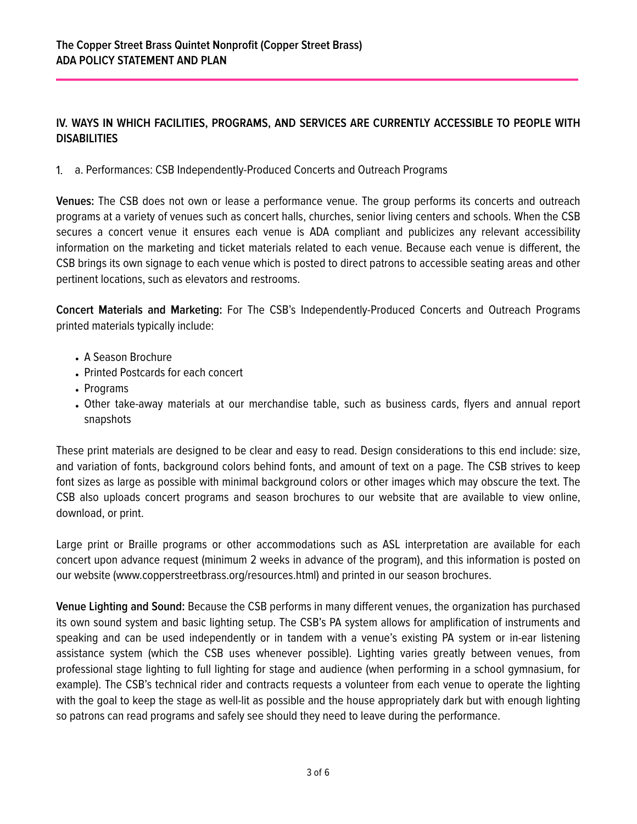## **IV. WAYS IN WHICH FACILITIES, PROGRAMS, AND SERVICES ARE CURRENTLY ACCESSIBLE TO PEOPLE WITH DISABILITIES**

1. a. Performances: CSB Independently-Produced Concerts and Outreach Programs

**Venues:** The CSB does not own or lease a performance venue. The group performs its concerts and outreach programs at a variety of venues such as concert halls, churches, senior living centers and schools. When the CSB secures a concert venue it ensures each venue is ADA compliant and publicizes any relevant accessibility information on the marketing and ticket materials related to each venue. Because each venue is different, the CSB brings its own signage to each venue which is posted to direct patrons to accessible seating areas and other pertinent locations, such as elevators and restrooms.

**Concert Materials and Marketing:** For The CSB's Independently-Produced Concerts and Outreach Programs printed materials typically include:

- A Season Brochure
- Printed Postcards for each concert
- Programs
- Other take-away materials at our merchandise table, such as business cards, flyers and annual report snapshots

These print materials are designed to be clear and easy to read. Design considerations to this end include: size, and variation of fonts, background colors behind fonts, and amount of text on a page. The CSB strives to keep font sizes as large as possible with minimal background colors or other images which may obscure the text. The CSB also uploads concert programs and season brochures to our website that are available to view online, download, or print.

Large print or Braille programs or other accommodations such as ASL interpretation are available for each concert upon advance request (minimum 2 weeks in advance of the program), and this information is posted on our website (www.copperstreetbrass.org/resources.html) and printed in our season brochures.

**Venue Lighting and Sound:** Because the CSB performs in many different venues, the organization has purchased its own sound system and basic lighting setup. The CSB's PA system allows for amplification of instruments and speaking and can be used independently or in tandem with a venue's existing PA system or in-ear listening assistance system (which the CSB uses whenever possible). Lighting varies greatly between venues, from professional stage lighting to full lighting for stage and audience (when performing in a school gymnasium, for example). The CSB's technical rider and contracts requests a volunteer from each venue to operate the lighting with the goal to keep the stage as well-lit as possible and the house appropriately dark but with enough lighting so patrons can read programs and safely see should they need to leave during the performance.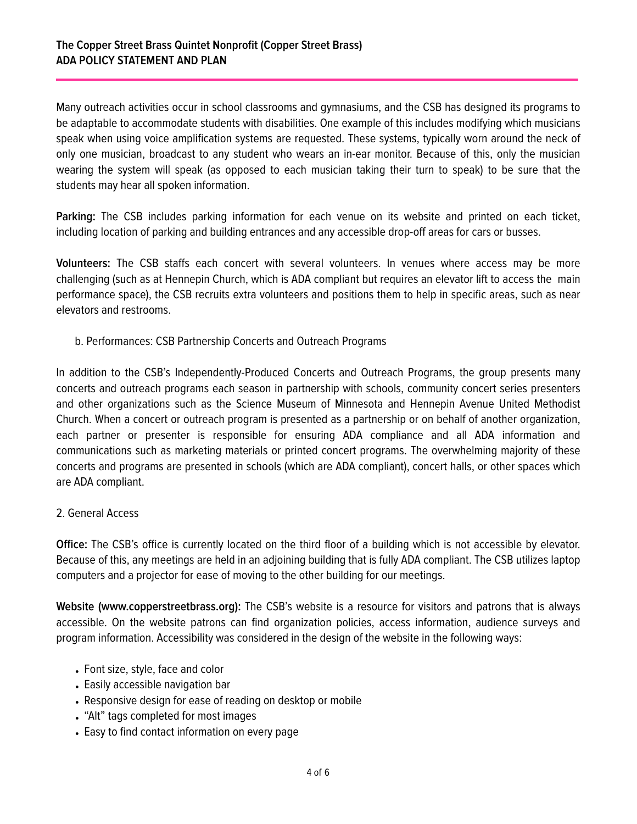Many outreach activities occur in school classrooms and gymnasiums, and the CSB has designed its programs to be adaptable to accommodate students with disabilities. One example of this includes modifying which musicians speak when using voice amplification systems are requested. These systems, typically worn around the neck of only one musician, broadcast to any student who wears an in-ear monitor. Because of this, only the musician wearing the system will speak (as opposed to each musician taking their turn to speak) to be sure that the students may hear all spoken information.

**Parking:** The CSB includes parking information for each venue on its website and printed on each ticket, including location of parking and building entrances and any accessible drop-off areas for cars or busses.

**Volunteers:** The CSB staffs each concert with several volunteers. In venues where access may be more challenging (such as at Hennepin Church, which is ADA compliant but requires an elevator lift to access the main performance space), the CSB recruits extra volunteers and positions them to help in specific areas, such as near elevators and restrooms.

b. Performances: CSB Partnership Concerts and Outreach Programs

In addition to the CSB's Independently-Produced Concerts and Outreach Programs, the group presents many concerts and outreach programs each season in partnership with schools, community concert series presenters and other organizations such as the Science Museum of Minnesota and Hennepin Avenue United Methodist Church. When a concert or outreach program is presented as a partnership or on behalf of another organization, each partner or presenter is responsible for ensuring ADA compliance and all ADA information and communications such as marketing materials or printed concert programs. The overwhelming majority of these concerts and programs are presented in schools (which are ADA compliant), concert halls, or other spaces which are ADA compliant.

### 2. General Access

**Office:** The CSB's office is currently located on the third floor of a building which is not accessible by elevator. Because of this, any meetings are held in an adjoining building that is fully ADA compliant. The CSB utilizes laptop computers and a projector for ease of moving to the other building for our meetings.

**Website (www.copperstreetbrass.org):** The CSB's website is a resource for visitors and patrons that is always accessible. On the website patrons can find organization policies, access information, audience surveys and program information. Accessibility was considered in the design of the website in the following ways:

- Font size, style, face and color
- Easily accessible navigation bar
- Responsive design for ease of reading on desktop or mobile
- "Alt" tags completed for most images
- Easy to find contact information on every page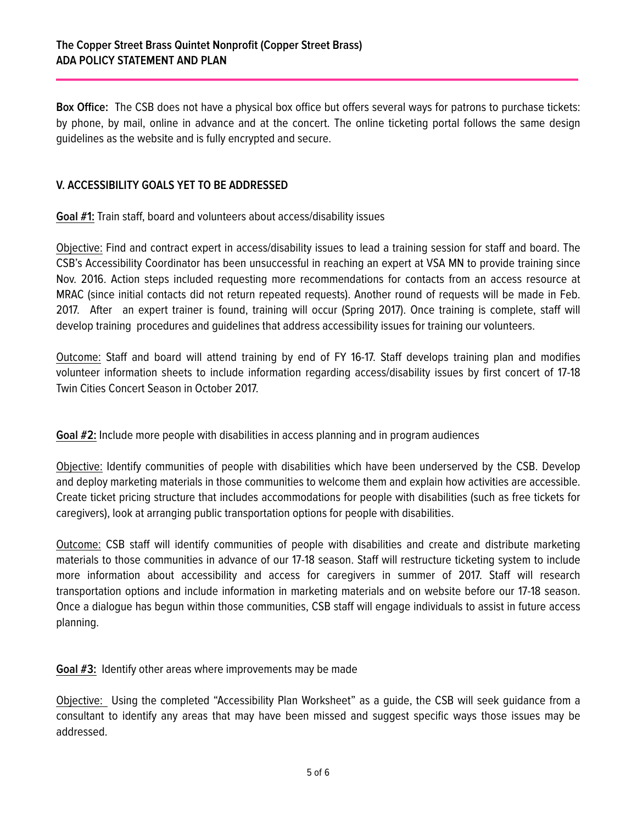**Box Office:** The CSB does not have a physical box office but offers several ways for patrons to purchase tickets: by phone, by mail, online in advance and at the concert. The online ticketing portal follows the same design guidelines as the website and is fully encrypted and secure.

## **V. ACCESSIBILITY GOALS YET TO BE ADDRESSED**

**Goal #1:** Train staff, board and volunteers about access/disability issues

Objective: Find and contract expert in access/disability issues to lead a training session for staff and board. The CSB's Accessibility Coordinator has been unsuccessful in reaching an expert at VSA MN to provide training since Nov. 2016. Action steps included requesting more recommendations for contacts from an access resource at MRAC (since initial contacts did not return repeated requests). Another round of requests will be made in Feb. 2017. After an expert trainer is found, training will occur (Spring 2017). Once training is complete, staff will develop training procedures and guidelines that address accessibility issues for training our volunteers.

Outcome: Staff and board will attend training by end of FY 16-17. Staff develops training plan and modifies volunteer information sheets to include information regarding access/disability issues by first concert of 17-18 Twin Cities Concert Season in October 2017.

**Goal #2:** Include more people with disabilities in access planning and in program audiences

Objective: Identify communities of people with disabilities which have been underserved by the CSB. Develop and deploy marketing materials in those communities to welcome them and explain how activities are accessible. Create ticket pricing structure that includes accommodations for people with disabilities (such as free tickets for caregivers), look at arranging public transportation options for people with disabilities.

Outcome: CSB staff will identify communities of people with disabilities and create and distribute marketing materials to those communities in advance of our 17-18 season. Staff will restructure ticketing system to include more information about accessibility and access for caregivers in summer of 2017. Staff will research transportation options and include information in marketing materials and on website before our 17-18 season. Once a dialogue has begun within those communities, CSB staff will engage individuals to assist in future access planning.

**Goal #3:** Identify other areas where improvements may be made

Objective: Using the completed "Accessibility Plan Worksheet" as a guide, the CSB will seek guidance from a consultant to identify any areas that may have been missed and suggest specific ways those issues may be addressed.